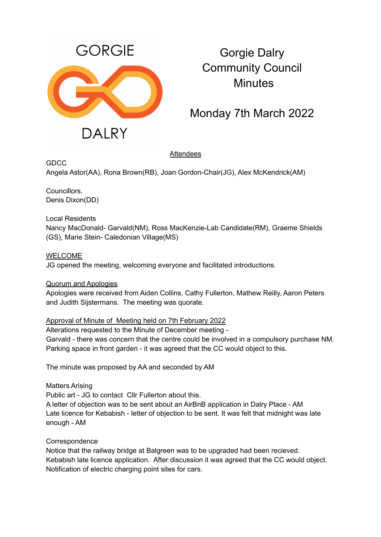

# Gorgie Dalry Community Council **Minutes**

# Monday 7th March 2022

## Attendees

**GDCC** 

Angela Astor(AA), Rona Brown(RB), Joan Gordon-Chair(JG), Alex McKendrick(AM)

Councillors. Denis Dixon(DD)

Local Residents Nancy MacDonald- Garvald(NM), Ross MacKenzie-Lab Candidate(RM), Graeme Shields (GS), Marie Stein- Caledonian Village(MS)

WELCOME JG opened the meeting, welcoming everyone and facilitated introductions.

### Quorum and Apologies

Apologies were received from Aiden Collins, Cathy Fullerton, Mathew Reilly, Aaron Peters and Judith Sijstermans. The meeting was quorate.

Approval of Minute of Meeting held on 7th February 2022

Alterations requested to the Minute of December meeting -

Garvald - there was concern that the centre could be involved in a compulsory purchase NM. Parking space in front garden - it was agreed that the CC would object to this.

The minute was proposed by AA and seconded by AM

Matters Arising

Public art - JG to contact Cllr Fullerton about this.

A letter of objection was to be sent about an AirBnB application in Dalry Place - AM Late licence for Kebabish - letter of objection to be sent. It was felt that midnight was late enough - AM

### **Correspondence**

Notice that the railway bridge at Balgreen was to be upgraded had been recieved. Kebabish late licence application. After discussion it was agreed that the CC would object. Notification of electric charging point sites for cars.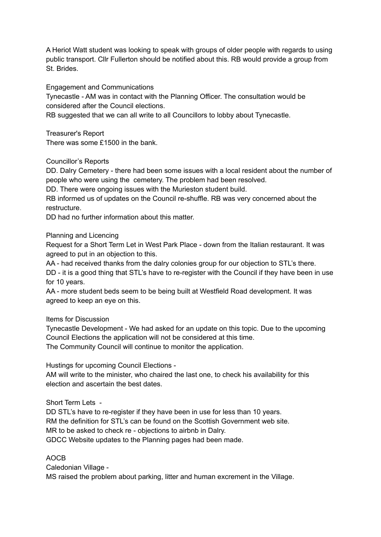A Heriot Watt student was looking to speak with groups of older people with regards to using public transport. Cllr Fullerton should be notified about this. RB would provide a group from St. Brides.

#### Engagement and Communications

Tynecastle - AM was in contact with the Planning Officer. The consultation would be considered after the Council elections.

RB suggested that we can all write to all Councillors to lobby about Tynecastle.

Treasurer's Report

There was some £1500 in the bank.

Councillor's Reports

DD. Dalry Cemetery - there had been some issues with a local resident about the number of people who were using the cemetery. The problem had been resolved.

DD. There were ongoing issues with the Murieston student build.

RB informed us of updates on the Council re-shuffle. RB was very concerned about the restructure.

DD had no further information about this matter.

#### Planning and Licencing

Request for a Short Term Let in West Park Place - down from the Italian restaurant. It was agreed to put in an objection to this.

AA - had received thanks from the dalry colonies group for our objection to STL's there.

DD - it is a good thing that STL's have to re-register with the Council if they have been in use for 10 years.

AA - more student beds seem to be being built at Westfield Road development. It was agreed to keep an eye on this.

Items for Discussion

Tynecastle Development - We had asked for an update on this topic. Due to the upcoming Council Elections the application will not be considered at this time.

The Community Council will continue to monitor the application.

Hustings for upcoming Council Elections -

AM will write to the minister, who chaired the last one, to check his availability for this election and ascertain the best dates.

Short Term Lets -

DD STL's have to re-register if they have been in use for less than 10 years. RM the definition for STL's can be found on the Scottish Government web site. MR to be asked to check re - objections to airbnb in Dalry. GDCC Website updates to the Planning pages had been made.

### AOCB

Caledonian Village - MS raised the problem about parking, litter and human excrement in the Village.